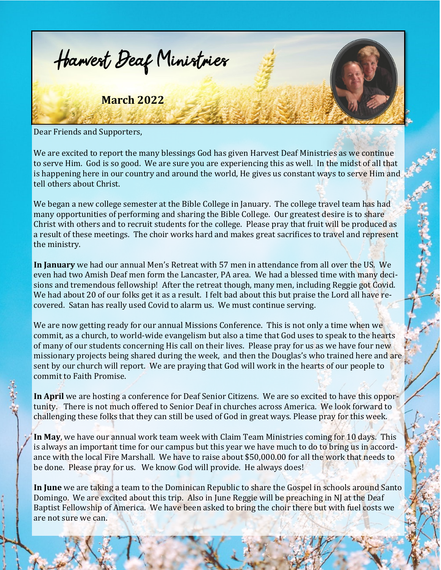

Dear Friends and Supporters,

We are excited to report the many blessings God has given Harvest Deaf Ministries as we continue to serve Him. God is so good. We are sure you are experiencing this as well. In the midst of all that is happening here in our country and around the world, He gives us constant ways to serve Him and tell others about Christ.

We began a new college semester at the Bible College in January. The college travel team has had many opportunities of performing and sharing the Bible College. Our greatest desire is to share Christ with others and to recruit students for the college. Please pray that fruit will be produced as a result of these meetings. The choir works hard and makes great sacrifices to travel and represent the ministry.

**In January** we had our annual Men's Retreat with 57 men in attendance from all over the US. We even had two Amish Deaf men form the Lancaster, PA area. We had a blessed time with many decisions and tremendous fellowship! After the retreat though, many men, including Reggie got Covid. We had about 20 of our folks get it as a result. I felt bad about this but praise the Lord all have recovered. Satan has really used Covid to alarm us. We must continue serving.

We are now getting ready for our annual Missions Conference. This is not only a time when we commit, as a church, to world-wide evangelism but also a time that God uses to speak to the hearts of many of our students concerning His call on their lives. Please pray for us as we have four new missionary projects being shared during the week, and then the Douglas's who trained here and are sent by our church will report. We are praying that God will work in the hearts of our people to commit to Faith Promise.

**In April** we are hosting a conference for Deaf Senior Citizens. We are so excited to have this opportunity. There is not much offered to Senior Deaf in churches across America. We look forward to challenging these folks that they can still be used of God in great ways. Please pray for this week.

**In May**, we have our annual work team week with Claim Team Ministries coming for 10 days. This is always an important time for our campus but this year we have much to do to bring us in accordance with the local Fire Marshall. We have to raise about \$50,000.00 for all the work that needs to be done. Please pray for us. We know God will provide. He always does!

**In June** we are taking a team to the Dominican Republic to share the Gospel in schools around Santo Domingo. We are excited about this trip. Also in June Reggie will be preaching in NJ at the Deaf Baptist Fellowship of America. We have been asked to bring the choir there but with fuel costs we are not sure we can.